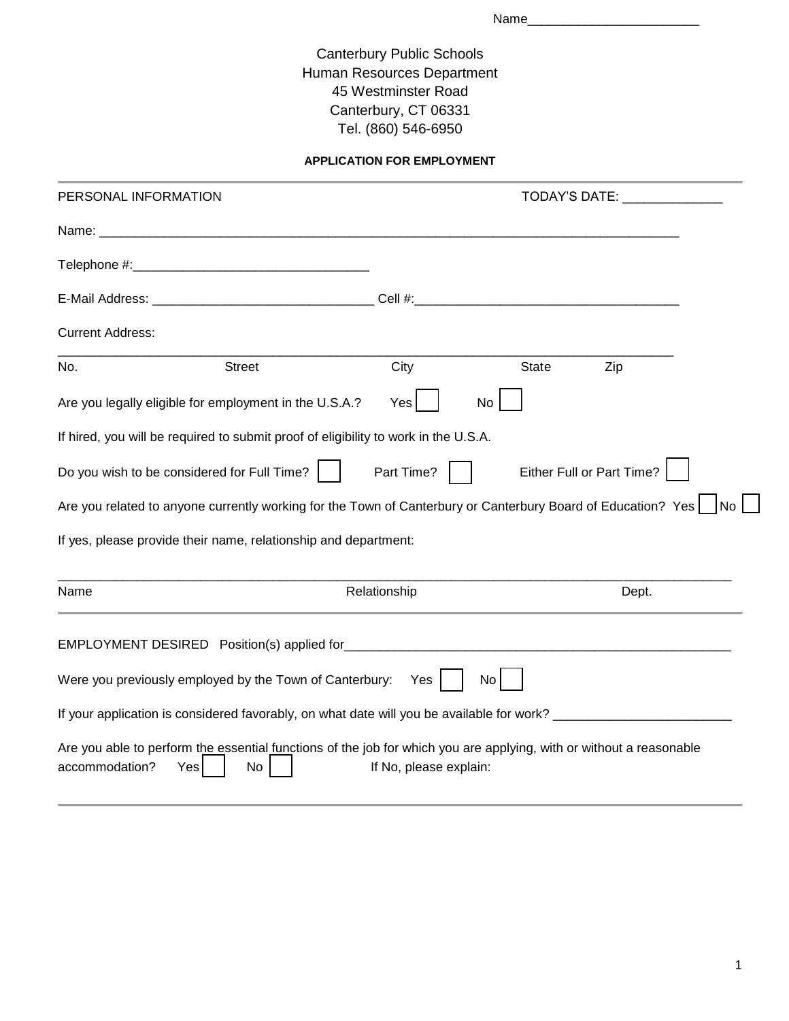Name\_\_\_\_\_\_\_\_\_\_\_\_\_\_\_\_\_\_\_\_\_\_\_\_

Canterbury Public Schools Human Resources Department 45 Westminster Road Canterbury, CT 06331 Tel. (860) 546-6950

**APPLICATION FOR EMPLOYMENT**

| PERSONAL INFORMATION    |                                                                                                                                  |                        | TODAY'S DATE: TODAY'S |                           |      |  |  |
|-------------------------|----------------------------------------------------------------------------------------------------------------------------------|------------------------|-----------------------|---------------------------|------|--|--|
|                         |                                                                                                                                  |                        |                       |                           |      |  |  |
|                         |                                                                                                                                  |                        |                       |                           |      |  |  |
|                         |                                                                                                                                  |                        |                       |                           |      |  |  |
| <b>Current Address:</b> |                                                                                                                                  |                        |                       |                           |      |  |  |
| No.                     | <b>Street</b>                                                                                                                    | City                   | <b>State</b>          | Zip                       |      |  |  |
|                         | Are you legally eligible for employment in the U.S.A.?                                                                           | Yes                    | No                    |                           |      |  |  |
|                         | If hired, you will be required to submit proof of eligibility to work in the U.S.A.                                              |                        |                       |                           |      |  |  |
|                         | Do you wish to be considered for Full Time?                                                                                      | Part Time?             |                       | Either Full or Part Time? |      |  |  |
|                         | Are you related to anyone currently working for the Town of Canterbury or Canterbury Board of Education? Yes                     |                        |                       |                           | l No |  |  |
|                         | If yes, please provide their name, relationship and department:                                                                  |                        |                       |                           |      |  |  |
| Name                    |                                                                                                                                  | Relationship           |                       | Dept.                     |      |  |  |
|                         |                                                                                                                                  |                        |                       |                           |      |  |  |
|                         | Were you previously employed by the Town of Canterbury: Yes                                                                      |                        | No                    |                           |      |  |  |
|                         | If your application is considered favorably, on what date will you be available for work? ____________________                   |                        |                       |                           |      |  |  |
| accommodation?          | Are you able to perform the essential functions of the job for which you are applying, with or without a reasonable<br>No<br>Yes | If No, please explain: |                       |                           |      |  |  |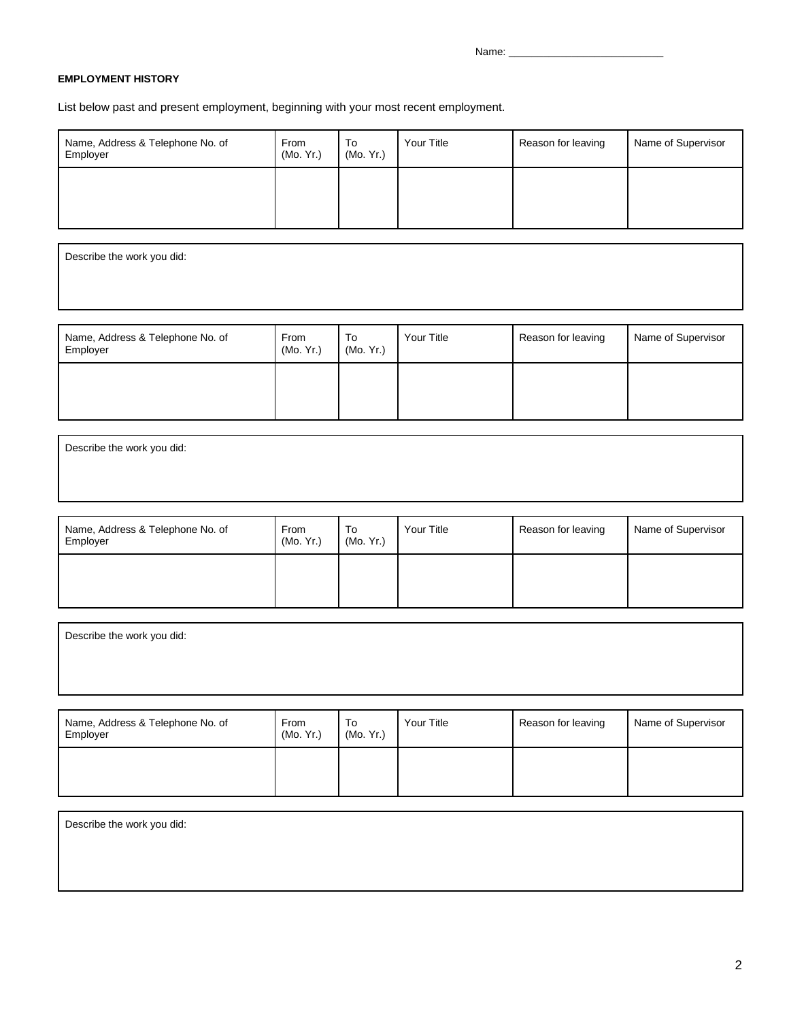Name:

## **EMPLOYMENT HISTORY**

List below past and present employment, beginning with your most recent employment.

| Name, Address & Telephone No. of<br>Employer | From<br>(Mo. Yr.) | To<br>(Mo. Yr.) | Your Title | Reason for leaving | Name of Supervisor |
|----------------------------------------------|-------------------|-----------------|------------|--------------------|--------------------|
|                                              |                   |                 |            |                    |                    |

Describe the work you did:

| Name, Address & Telephone No. of<br>Employer | From<br>(Mo. Yr.) | To<br>(Mo. Yr.) | Your Title | Reason for leaving | Name of Supervisor |
|----------------------------------------------|-------------------|-----------------|------------|--------------------|--------------------|
|                                              |                   |                 |            |                    |                    |

Describe the work you did:

| Name, Address & Telephone No. of<br>Employer | <b>From</b><br>(Mo. Yr.) | To<br>(Mo. Yr.) | Your Title | Reason for leaving | Name of Supervisor |
|----------------------------------------------|--------------------------|-----------------|------------|--------------------|--------------------|
|                                              |                          |                 |            |                    |                    |

Describe the work you did: Name, Address & Telephone No. of  $\mathsf{T}_{\mathsf{F}^{\mathsf{m}}}$  $T_{\tau_{\alpha}}$ ٦ Your Title **Reason for leaving** Name of Supervisor

| Name, Address & Telephone No. of<br>Employer | From<br>(Mo, Yr.) | To<br>(Mo, Yr.) | Your Title | Reason for leaving | Name of Supervisor |
|----------------------------------------------|-------------------|-----------------|------------|--------------------|--------------------|
|                                              |                   |                 |            |                    |                    |

Describe the work you did: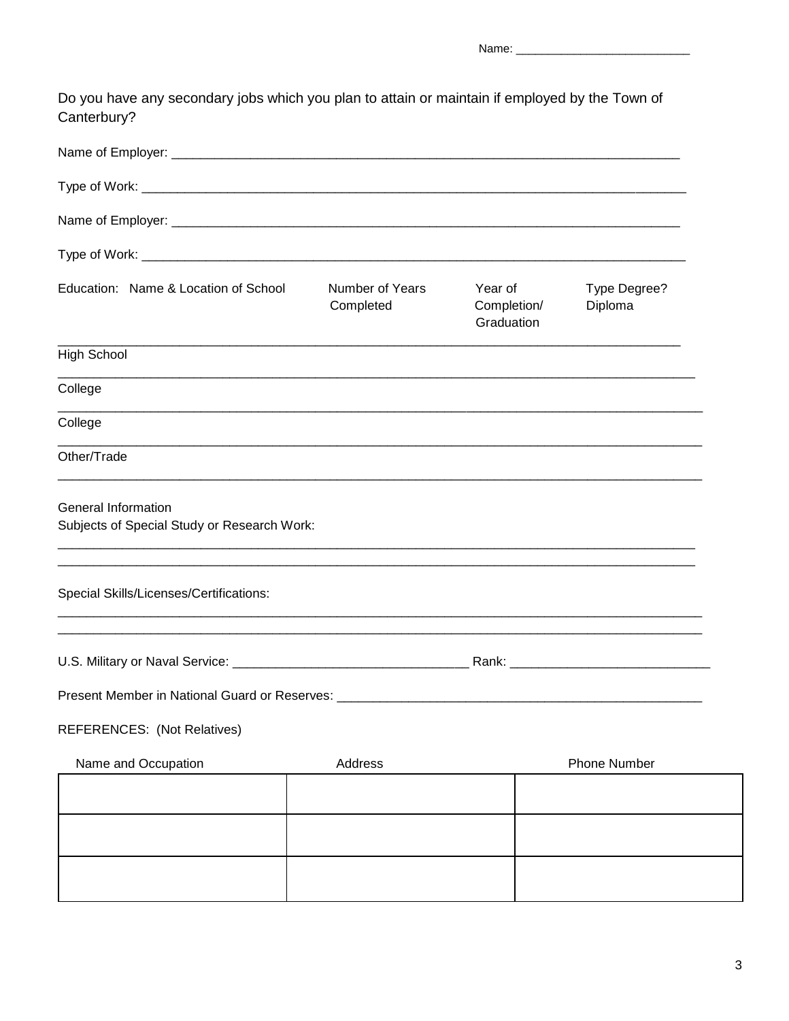Do you have any secondary jobs which you plan to attain or maintain if employed by the Town of Canterbury?

| Education: Name & Location of School                                      | Number of Years<br>Completed | Year of<br>Completion/<br>Graduation | Type Degree?<br>Diploma |  |
|---------------------------------------------------------------------------|------------------------------|--------------------------------------|-------------------------|--|
| <b>High School</b>                                                        |                              |                                      |                         |  |
| College                                                                   |                              |                                      |                         |  |
| College                                                                   |                              |                                      |                         |  |
| Other/Trade                                                               |                              |                                      |                         |  |
| <b>General Information</b><br>Subjects of Special Study or Research Work: |                              |                                      |                         |  |
| Special Skills/Licenses/Certifications:                                   |                              |                                      |                         |  |
|                                                                           |                              |                                      |                         |  |
|                                                                           |                              |                                      |                         |  |
| <b>REFERENCES:</b> (Not Relatives)                                        |                              |                                      |                         |  |
| Name and Occupation                                                       | Address                      |                                      | <b>Phone Number</b>     |  |
|                                                                           |                              |                                      |                         |  |
|                                                                           |                              |                                      |                         |  |
|                                                                           |                              |                                      |                         |  |
|                                                                           |                              |                                      |                         |  |